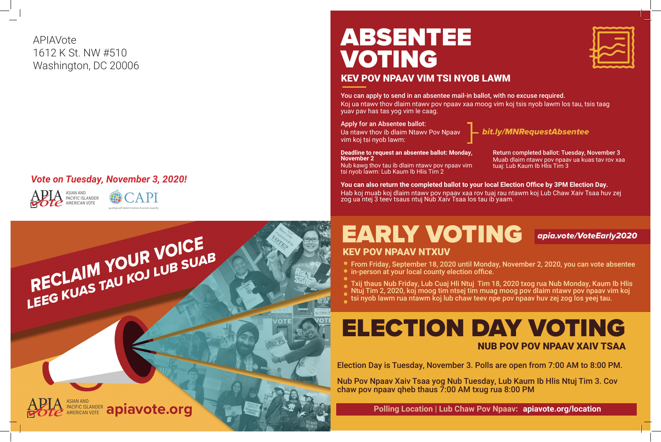

 **Polling Location | Lub Chaw Pov Npaav: apiavote.org/location**





# ABSENTEE VOTING

## KEV POV NPAAV VIM TSI NYOB LAWM

You can apply to send in an absentee mail-in ballot, with no excuse required. Koj ua ntawv thov dlaim ntawv pov npaav xaa moog vim koj tsis nyob lawm los tau, tsis taag yuav pav has tas yog vim le caag.

### Apply for an Absentee ballot:

Ua ntawv thov ib dlaim Ntawv Pov Npaav vim koj tsi nyob lawm:

### **You can also return the completed ballot to your local Election Office by 3PM Election Day.**

Hab koj muab koj dlaim ntawv pov npaav xaa rov tuaj rau ntawm koj Lub Chaw Xaiv Tsaa huv zej zog ua ntej 3 teev tsaus ntuj Nub Xaiv Tsaa los tau ib yaam.

## EARLY VOTING *apia.vote/VoteEarly2020* KEV POV NPAAV NTXUV

#### **Deadline to request an absentee ballot: Monday, November 2**

Nub kawg thov tau ib dlaim ntawv pov npaav vim tsi nyob lawm: Lub Kaum Ib Hlis Tim 2

Return completed ballot: Tuesday, November 3 Muab dlaim ntawv pov npaav ua kuas tav rov xaa tuaj: Lub Kaum Ib Hlis Tim 3











## *Vote on Tuesday, November 3, 2020!*

APIAVote 1612 K St. NW #510 Washington, DC 20006

From Friday, September 18, 2020 until Monday, November 2, 2020, you can vote absentee

- 
- in-person at your local county election office.
- 
- 
- 

Txij thaus Nub Friday, Lub Cuaj Hli Ntuj Tim 18, 2020 txog rua Nub Monday, Kaum Ib Hlis Ntuj Tim 2, 2020, koj moog tim ntsej tim muag moog pov dlaim ntawv pov npaav vim koj tsi nyob lawm rua ntawm koj lub chaw teev npe pov npaav huv zej zog los yeej tau.

Election Day is Tuesday, November 3. Polls are open from 7:00 AM to 8:00 PM.

Nub Pov Npaav Xaiv Tsaa yog Nub Tuesday, Lub Kaum Ib Hlis Ntuj Tim 3. Cov chaw pov npaav qheb thaus 7:00 AM txug rua 8:00 PM